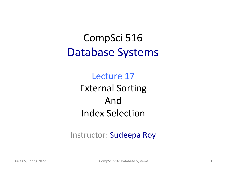#### CompSci 516 Database Systems

Lecture 17 External Sorting And Index Selection

Instructor: Sudeepa Roy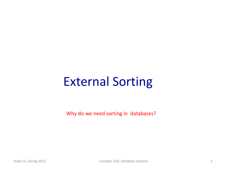## External Sorting

Why do we need sorting in databases?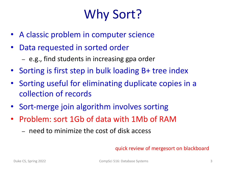# Why Sort?

- A classic problem in computer science
- Data requested in sorted order
	- e.g., find students in increasing gpa order
- Sorting is first step in bulk loading B+ tree index
- Sorting useful for eliminating duplicate copies in a collection of records
- Sort-merge join algorithm involves sorting
- Problem: sort 1Gb of data with 1Mb of RAM
	- need to minimize the cost of disk access

quick review of mergesort on blackboard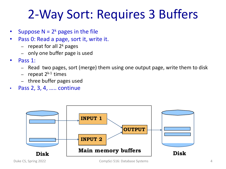### 2-Way Sort: Requires 3 Buffers

- Suppose  $N = 2^k$  pages in the file
- Pass 0: Read a page, sort it, write it.
	- repeat for all  $2<sup>k</sup>$  pages
	- only one buffer page is used
- Pass 1:
	- Read two pages, sort (merge) them using one output page, write them to disk
	- repeat  $2^{k-1}$  times
	- three buffer pages used
- Pass 2, 3, 4, ….. continue

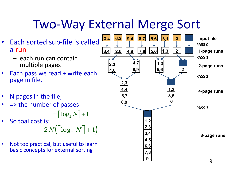# Two-Way External Merge Sort

- Each sorted sub-file is called a run
	- each run can contain multiple pages
- Each pass we read + write each page in file.
- N pages in the file,
- => the number of passes

 $=\left\lceil \log_2 N \right\rceil + 1$ 

So toal cost is:

 $2N(\lceil \log_2 N \rceil + 1)$ 

• Not too practical, but useful to learn basic concepts for external sorting

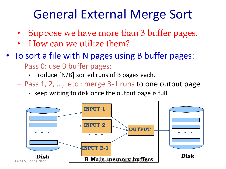### General External Merge Sort

- Suppose we have more than 3 buffer pages.
- How can we utilize them?
- To sort a file with N pages using B buffer pages:
	- Pass 0: use B buffer pages:
		- Produce [N/B] sorted runs of B pages each.
	- Pass 1, 2, …, etc.: merge B-1 runs to one output page
		- keep writing to disk once the output page is full

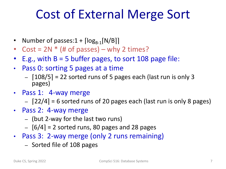#### Cost of External Merge Sort

- Number of passes: $1 + \lceil log_{B-1} \lceil N/B \rceil \rceil$
- Cost =  $2N * (H \cdot \text{of passes}) \text{why 2 times?}$
- E.g., with B = 5 buffer pages, to sort 108 page file:
- Pass 0: sorting 5 pages at a time
	- $[108/5]$  = 22 sorted runs of 5 pages each (last run is only 3 pages)
- Pass 1: 4-way merge
	- $[22/4]$  = 6 sorted runs of 20 pages each (last run is only 8 pages)
- Pass 2: 4-way merge
	- (but 2-way for the last two runs)
	- $[6/4]$  = 2 sorted runs, 80 pages and 28 pages
- Pass 3: 2-way merge (only 2 runs remaining)
	- Sorted file of 108 pages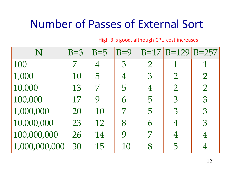#### Number of Passes of External Sort

High B is good, although CPU cost increases

| N             | $B=3$ | $B=5$ | $B=9$ | $B=17$         | $ B=129 $      | $B = 257$      |
|---------------|-------|-------|-------|----------------|----------------|----------------|
| 100           |       | 4     | 3     | $\overline{2}$ |                |                |
| 1,000         | 10    | 5     | 4     | 3              | $\overline{2}$ | $\overline{2}$ |
| 10,000        | 13    | 7     | 5     | $\overline{4}$ | $\overline{2}$ | $\overline{2}$ |
| 100,000       | 17    | 9     | 6     | 5              | 3              | 3              |
| 1,000,000     | 20    | 10    | 7     | 5              | 3              | 3              |
| 10,000,000    | 23    | 12    | 8     | 6              | $\overline{4}$ | 3              |
| 100,000,000   | 26    | 14    | 9     |                | 4              |                |
| 1,000,000,000 | 30    | 15    | 10    | R              | 5              |                |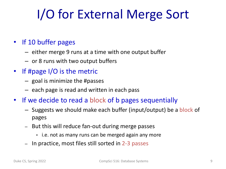# I/O for External Merge Sort

#### • If 10 buffer pages

- either merge 9 runs at a time with one output buffer
- or 8 runs with two output buffers
- If #page I/O is the metric
	- goal is minimize the #passes
	- each page is read and written in each pass
- If we decide to read a block of b pages sequentially
	- Suggests we should make each buffer (input/output) be a block of pages
	- But this will reduce fan-out during merge passes
		- i.e. not as many runs can be merged again any more
	- In practice, most files still sorted in 2-3 passes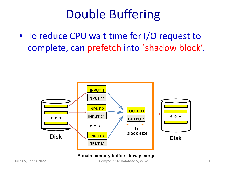### Double Buffering

• To reduce CPU wait time for I/O request to complete, can prefetch into `shadow block'.



#### **B main memory buffers, k-way merge**

Duke CS, Spring 2022 CompSci 516: Database Systems 10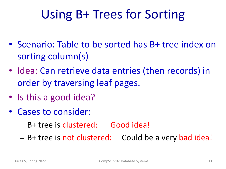# Using B+ Trees for Sorting

- Scenario: Table to be sorted has B+ tree index on sorting column(s)
- Idea: Can retrieve data entries (then records) in order by traversing leaf pages.
- Is this a good idea?
- Cases to consider:
	- B+ tree is clustered: Good idea!
	- B+ tree is not clustered: Could be a very bad idea!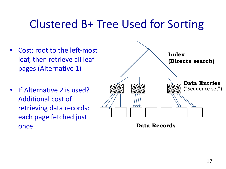#### Clustered B+ Tree Used for Sorting

- Cost: root to the left-most leaf, then retrieve all leaf pages (Alternative 1)
- If Alternative 2 is used? Additional cost of retrieving data records: each page fetched just once



**Data Records**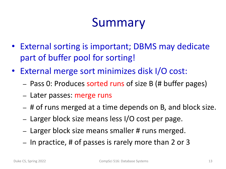### Summary

- External sorting is important; DBMS may dedicate part of buffer pool for sorting!
- External merge sort minimizes disk I/O cost:
	- Pass 0: Produces sorted runs of size B (# buffer pages)
	- Later passes: merge runs
	- # of runs merged at a time depends on B, and block size.
	- Larger block size means less I/O cost per page.
	- Larger block size means smaller # runs merged.
	- In practice, # of passes is rarely more than 2 or 3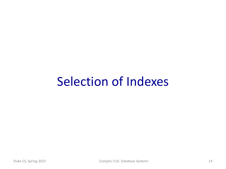#### Selection of Indexes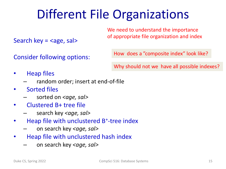# Different File Organizations

We need to understand the importance of appropriate file organization and index

Search key  $=$  <age, sal>

Consider following options:

How does a "composite index" look like?

Why should not we have all possible indexes?

- Heap files
	- random order; insert at end-of-file
- Sorted files
	- sorted on *<age*, sal>
- Clustered B+ tree file
	- search key *<age*, sal>
- Heap file with unclustered B<sup>+</sup>-tree index
	- on search key *<age*, sal>
- Heap file with unclustered hash index
	- on search key *<age*, sal>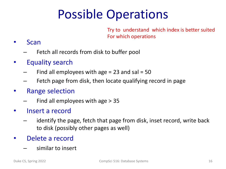## Possible Operations

Try to understand which index is better suited For which operations

- Scan
	- Fetch all records from disk to buffer pool
- **Equality search** 
	- Find all employees with age  $= 23$  and sal  $= 50$
	- Fetch page from disk, then locate qualifying record in page
- Range selection
	- Find all employees with age  $> 35$
- Insert a record
	- identify the page, fetch that page from disk, inset record, write back to disk (possibly other pages as well)
- Delete a record
	- similar to insert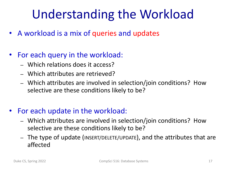# Understanding the Workload

- A workload is a mix of queries and updates
- For each query in the workload:
	- Which relations does it access?
	- Which attributes are retrieved?
	- Which attributes are involved in selection/join conditions? How selective are these conditions likely to be?
- For each update in the workload:
	- Which attributes are involved in selection/join conditions? How selective are these conditions likely to be?
	- The type of update (INSERT/DELETE/UPDATE), and the attributes that are affected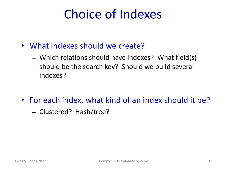### Choice of Indexes

- What indexes should we create?
	- Which relations should have indexes? What field(s) should be the search key? Should we build several indexes?
- For each index, what kind of an index should it be?
	- Clustered? Hash/tree?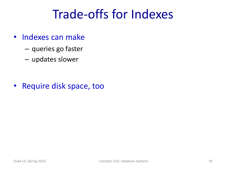#### Trade-offs for Indexes

- Indexes can make
	- queries go faster
	- updates slower

• Require disk space, too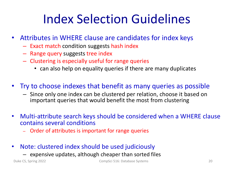# Index Selection Guidelines

- Attributes in WHERE clause are candidates for index keys
	- Exact match condition suggests hash index
	- Range query suggests tree index
	- Clustering is especially useful for range queries
		- can also help on equality queries if there are many duplicates
- Try to choose indexes that benefit as many queries as possible
	- Since only one index can be clustered per relation, choose it based on important queries that would benefit the most from clustering
- Multi-attribute search keys should be considered when a WHERE clause contains several conditions
	- Order of attributes is important for range queries
- Note: clustered index should be used judiciously
	- expensive updates, although cheaper than sorted files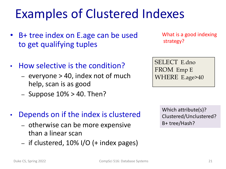#### Examples of Clustered Indexes

- B+ tree index on E.age can be used to get qualifying tuples
- How selective is the condition?
	- everyone > 40, index not of much help, scan is as good
	- $-$  Suppose  $10\% > 40$ . Then?
- Depends on if the index is clustered
	- otherwise can be more expensive than a linear scan
	- if clustered, 10% I/O (+ index pages)

What is a good indexing strategy?

SELECT E.dno FROM Emp E WHERE E.age>40

> Which attribute(s)? Clustered/Unclustered? B+ tree/Hash?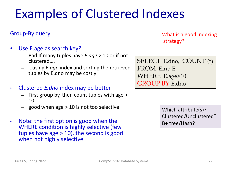#### Examples of Clustered Indexes

#### Group-By query

- Use E.age as search key?
	- Bad If many tuples have *E.age* > 10 or if not clustered….
	- …using *E.age* index and sorting the retrieved tuples by E.dno may be costly
- Clustered *E.dno* index may be better
	- First group by, then count tuples with age > 10
	- $-$  good when age  $> 10$  is not too selective
- Note: the first option is good when the WHERE condition is highly selective (few tuples have age > 10), the second is good when not highly selective

What is a good indexing strategy?

SELECT E.dno, COUNT (\*) FROM Emp E WHERE E.age>10 GROUP BY E.dno

> Which attribute(s)? Clustered/Unclustered? B+ tree/Hash?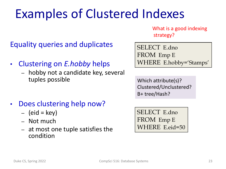#### Examples of Clustered Indexes

#### Equality queries and duplicates

- Clustering on *E.hobby* helps
	- hobby not a candidate key, several tuples possible
- Does clustering help now?
	- $-$  (eid = key)
	- Not much
	- at most one tuple satisfies the condition

What is a good indexing strategy?

SELECT E.dno FROM Emp E WHERE E.hobby='Stamps'

Which attribute(s)? Clustered/Unclustered? B+ tree/Hash?

SELECT E.dno FROM Emp E WHERE E.eid=50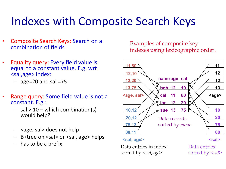#### Indexes with Composite Search Keys

- Composite Search Keys: Search on a combination of fields
- Equality query: Every field value is equal to a constant value. E.g. wrt <sal,age> index:
	- $-$  age=20 and sal =75
- Range query: Some field value is not a constant. E.g.:
	- $-$  sal  $> 10$  which combination(s) would help?
	- $-$  <age, sal > does not help
	- B+tree on <sal> or <sal, age> helps
	- has to be a prefix

Examples of composite key indexes using lexicographic order.



#### **<sal, age>**

Data entries in index sorted by *<sal,age>*

**<sal>**

Data entries sorted by *<sal>*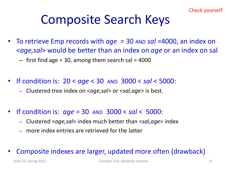# Composite Search Keys

- To retrieve Emp records with *age* = 30 AND *sal* =4000, an index on <*age,sal*> would be better than an index on *age* or an index on sal
	- $-$  first find age = 30, among them search sal = 4000
- If condition is: 20 < *age* < 30 AND 3000 < *sal* < 5000:
	- Clustered tree index on <*age,sal*> or <*sal,age*> is best.
- If condition is: *age* = 30 AND 3000 < *sal* < 5000:
	- Clustered <*age,sal*> index much better than <*sal,age*> index
	- more index entries are retrieved for the latter

#### • Composite indexes are larger, updated more often (drawback)